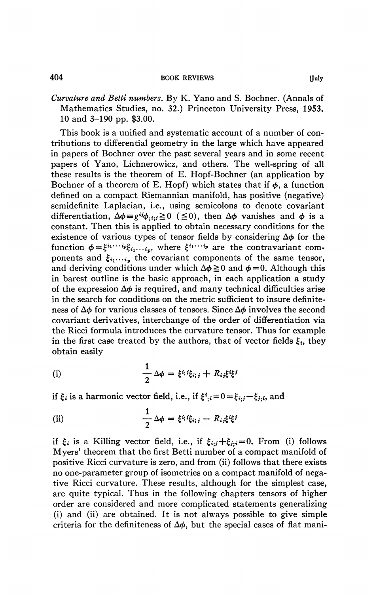Curvature and Betti numbers. By K. Yano and S. Bochner. (Annals of Mathematics Studies, no. 32.) Princeton University Press, 1953. 10 and 3-190 pp. \$3.00.

This book is a unified and systematic account of a number of contributions to differential geometry in the large which have appeared in papers of Bochner over the past several years and in some recent papers of Yano, Lichnerowicz, and others. The well-spring of all these results is the theorem of E. Hopf-Bochner (an application by Bochner of a theorem of E. Hopf) which states that if  $\phi$ , a function defined on a compact Riemannian manifold, has positive (negative) semidefinite Laplacian, i.e., using semicolons to denote covariant differentiation,  $\Delta \phi = g^{ij} \phi_{i, i, j} \ge 0$  ( $\le 0$ ), then  $\Delta \phi$  vanishes and  $\phi$  is a constant. Then this is applied to obtain necessary conditions for the existence of various types of tensor fields by considering  $\Delta\phi$  for the function  $\phi = \xi^{i_1 \cdots i_p} \xi_{i_1 \cdots i_p}$ , where  $\xi^{i_1 \cdots i_p}$  are the contravariant components and  $\xi_{i_1\cdots i_p}$  the covariant components of the same tensor, and deriving conditions under which  $\Delta \phi \ge 0$  and  $\phi = 0$ . Although this in barest outline is the basic approach, in each application a study of the expression  $\Delta\phi$  is required, and many technical difficulties arise in the search for conditions on the metric sufficient to insure definiteness of  $\Delta\phi$  for various classes of tensors. Since  $\Delta\phi$  involves the second covariant derivatives, interchange of the order of differentiation via the Ricci formula introduces the curvature tensor. Thus for example in the first case treated by the authors, that of vector fields  $\xi_i$ , they obtain easily

(i) 
$$
\frac{1}{2} \Delta \phi = \xi^{i_j} i \xi_{i,j} + R_{ij} \xi^{i} \xi^{j}
$$

if  $\xi_i$  is a harmonic vector field, i.e., if  $\xi^i_{;i} = 0 = \xi_{i,j} - \xi_{j;i}$ , and

(ii) 
$$
\frac{1}{2} \Delta \phi = \xi^{i_i} i \xi_{i_i j} - R_{i j} \xi^{i} \xi^{j}
$$

if  $\xi_i$  is a Killing vector field, i.e., if  $\xi_{i;j} + \xi_{j;i} = 0$ . From (i) follows Myers' theorem that the first Betti number of a compact manifold of positive Ricci curvature is zero, and from (ii) follows that there exists no one-parameter group of isometries on a compact manifold of negative Ricci curvature. These results, although for the simplest case, are quite typical. Thus in the following chapters tensors of higher order are considered and more complicated statements generalizing (i) and (ii) are obtained. It is not always possible to give simple criteria for the definiteness of  $\Delta\phi$ , but the special cases of flat mani